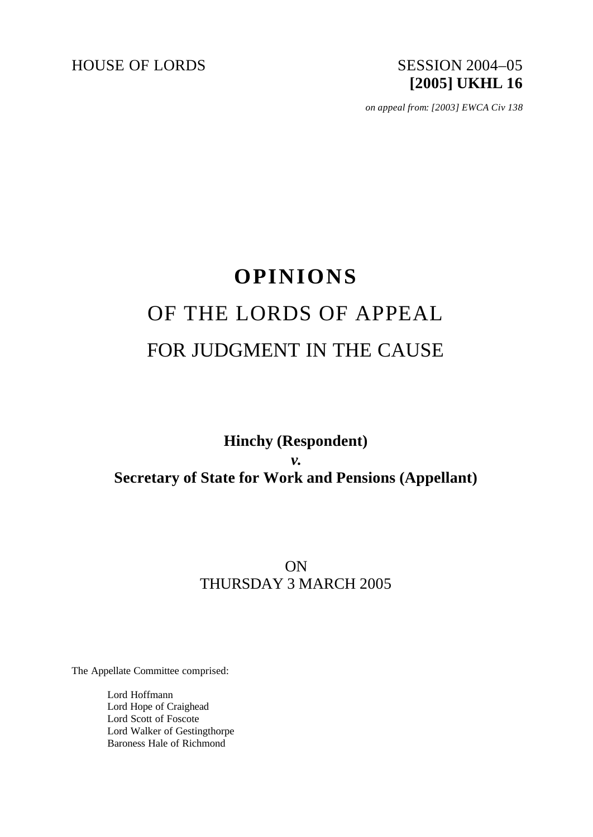HOUSE OF LORDS SESSION 2004-05

# **[2005] UKHL 16**

*on appeal from: [2003] EWCA Civ 138*

## **OPINIONS** OF THE LORDS OF APPEAL FOR JUDGMENT IN THE CAUSE

**Hinchy (Respondent)** *v.* **Secretary of State for Work and Pensions (Appellant)**

## ON THURSDAY 3 MARCH 2005

The Appellate Committee comprised:

Lord Hoffmann Lord Hope of Craighead Lord Scott of Foscote Lord Walker of Gestingthorpe Baroness Hale of Richmond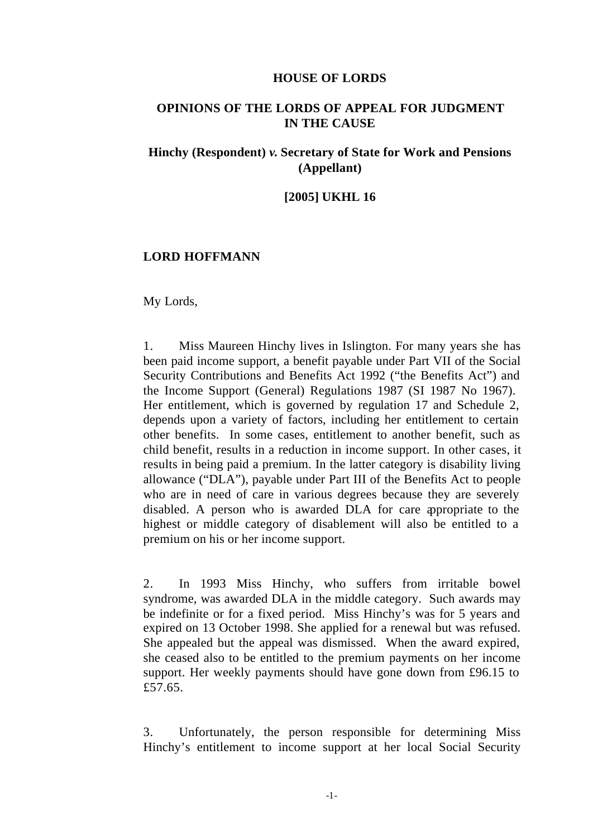#### **HOUSE OF LORDS**

#### **OPINIONS OF THE LORDS OF APPEAL FOR JUDGMENT IN THE CAUSE**

## **Hinchy (Respondent)** *v.* **Secretary of State for Work and Pensions (Appellant)**

#### **[2005] UKHL 16**

#### **LORD HOFFMANN**

My Lords,

1. Miss Maureen Hinchy lives in Islington. For many years she has been paid income support, a benefit payable under Part VII of the Social Security Contributions and Benefits Act 1992 ("the Benefits Act") and the Income Support (General) Regulations 1987 (SI 1987 No 1967). Her entitlement, which is governed by regulation 17 and Schedule 2, depends upon a variety of factors, including her entitlement to certain other benefits. In some cases, entitlement to another benefit, such as child benefit, results in a reduction in income support. In other cases, it results in being paid a premium. In the latter category is disability living allowance ("DLA"), payable under Part III of the Benefits Act to people who are in need of care in various degrees because they are severely disabled. A person who is awarded DLA for care appropriate to the highest or middle category of disablement will also be entitled to a premium on his or her income support.

2. In 1993 Miss Hinchy, who suffers from irritable bowel syndrome, was awarded DLA in the middle category. Such awards may be indefinite or for a fixed period. Miss Hinchy's was for 5 years and expired on 13 October 1998. She applied for a renewal but was refused. She appealed but the appeal was dismissed. When the award expired, she ceased also to be entitled to the premium payments on her income support. Her weekly payments should have gone down from £96.15 to £57.65.

3. Unfortunately, the person responsible for determining Miss Hinchy's entitlement to income support at her local Social Security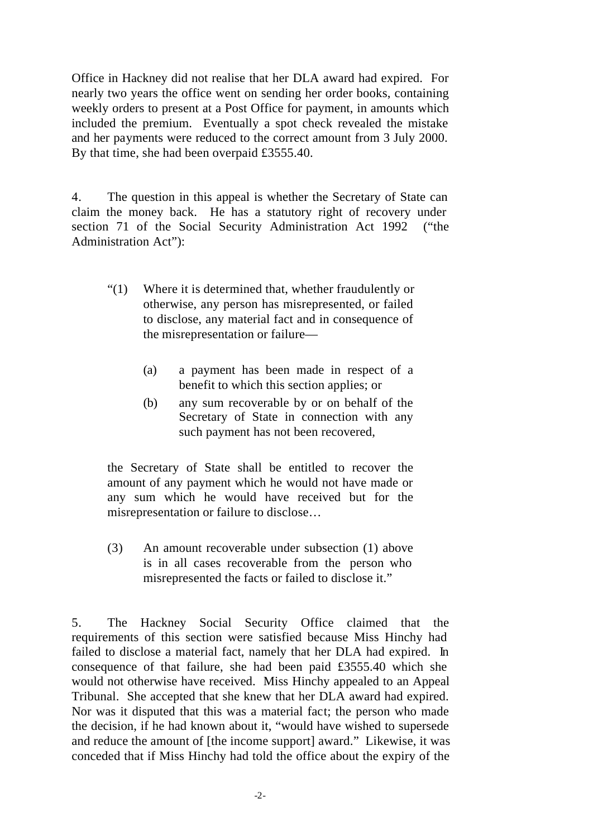Office in Hackney did not realise that her DLA award had expired. For nearly two years the office went on sending her order books, containing weekly orders to present at a Post Office for payment, in amounts which included the premium. Eventually a spot check revealed the mistake and her payments were reduced to the correct amount from 3 July 2000. By that time, she had been overpaid £3555.40.

4. The question in this appeal is whether the Secretary of State can claim the money back. He has a statutory right of recovery under section 71 of the Social Security Administration Act 1992 ("the Administration Act"):

- "(1) Where it is determined that, whether fraudulently or otherwise, any person has misrepresented, or failed to disclose, any material fact and in consequence of the misrepresentation or failure—
	- (a) a payment has been made in respect of a benefit to which this section applies; or
	- (b) any sum recoverable by or on behalf of the Secretary of State in connection with any such payment has not been recovered,

the Secretary of State shall be entitled to recover the amount of any payment which he would not have made or any sum which he would have received but for the misrepresentation or failure to disclose…

(3) An amount recoverable under subsection (1) above is in all cases recoverable from the person who misrepresented the facts or failed to disclose it."

5. The Hackney Social Security Office claimed that the requirements of this section were satisfied because Miss Hinchy had failed to disclose a material fact, namely that her DLA had expired. In consequence of that failure, she had been paid £3555.40 which she would not otherwise have received. Miss Hinchy appealed to an Appeal Tribunal. She accepted that she knew that her DLA award had expired. Nor was it disputed that this was a material fact; the person who made the decision, if he had known about it, "would have wished to supersede and reduce the amount of [the income support] award." Likewise, it was conceded that if Miss Hinchy had told the office about the expiry of the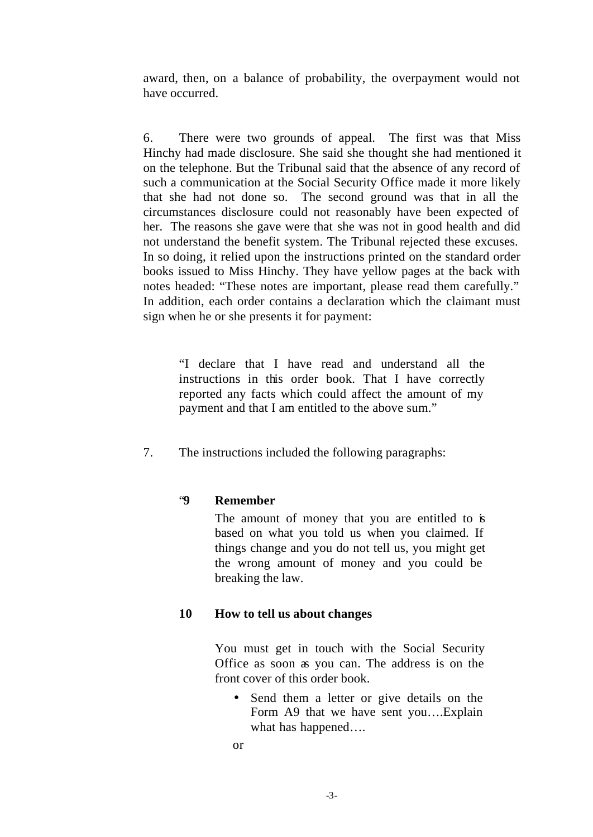award, then, on a balance of probability, the overpayment would not have occurred.

6. There were two grounds of appeal. The first was that Miss Hinchy had made disclosure. She said she thought she had mentioned it on the telephone. But the Tribunal said that the absence of any record of such a communication at the Social Security Office made it more likely that she had not done so. The second ground was that in all the circumstances disclosure could not reasonably have been expected of her. The reasons she gave were that she was not in good health and did not understand the benefit system. The Tribunal rejected these excuses. In so doing, it relied upon the instructions printed on the standard order books issued to Miss Hinchy. They have yellow pages at the back with notes headed: "These notes are important, please read them carefully." In addition, each order contains a declaration which the claimant must sign when he or she presents it for payment:

"I declare that I have read and understand all the instructions in this order book. That I have correctly reported any facts which could affect the amount of my payment and that I am entitled to the above sum."

7. The instructions included the following paragraphs:

## "**9 Remember**

The amount of money that you are entitled to is based on what you told us when you claimed. If things change and you do not tell us, you might get the wrong amount of money and you could be breaking the law.

## **10 How to tell us about changes**

You must get in touch with the Social Security Office as soon as you can. The address is on the front cover of this order book.

• Send them a letter or give details on the Form A9 that we have sent you….Explain what has happened….

or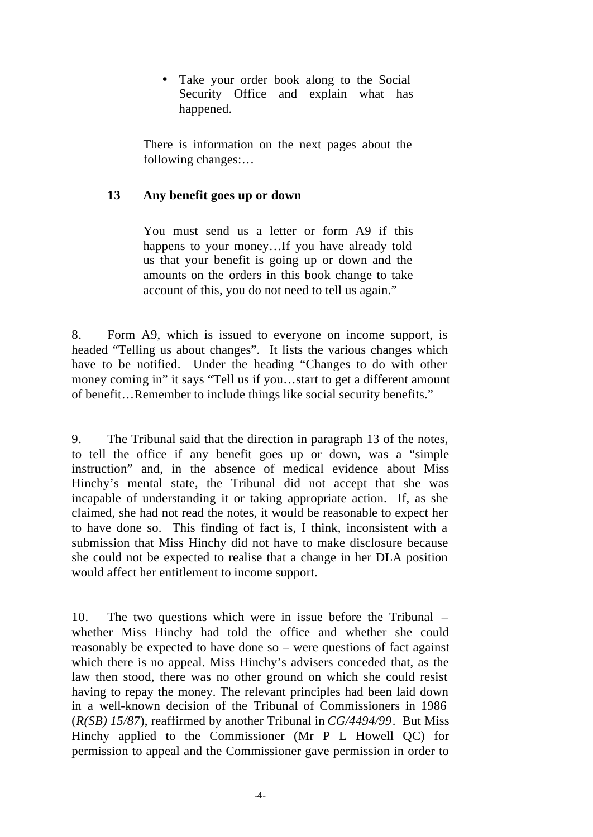• Take your order book along to the Social Security Office and explain what has happened.

There is information on the next pages about the following changes:…

#### **13 Any benefit goes up or down**

You must send us a letter or form A9 if this happens to your money…If you have already told us that your benefit is going up or down and the amounts on the orders in this book change to take account of this, you do not need to tell us again."

8. Form A9, which is issued to everyone on income support, is headed "Telling us about changes". It lists the various changes which have to be notified. Under the heading "Changes to do with other money coming in" it says "Tell us if you…start to get a different amount of benefit…Remember to include things like social security benefits."

9. The Tribunal said that the direction in paragraph 13 of the notes, to tell the office if any benefit goes up or down, was a "simple instruction" and, in the absence of medical evidence about Miss Hinchy's mental state, the Tribunal did not accept that she was incapable of understanding it or taking appropriate action. If, as she claimed, she had not read the notes, it would be reasonable to expect her to have done so. This finding of fact is, I think, inconsistent with a submission that Miss Hinchy did not have to make disclosure because she could not be expected to realise that a change in her DLA position would affect her entitlement to income support.

10. The two questions which were in issue before the Tribunal – whether Miss Hinchy had told the office and whether she could reasonably be expected to have done so – were questions of fact against which there is no appeal. Miss Hinchy's advisers conceded that, as the law then stood, there was no other ground on which she could resist having to repay the money. The relevant principles had been laid down in a well-known decision of the Tribunal of Commissioners in 1986 (*R(SB) 15/87*), reaffirmed by another Tribunal in *CG/4494/99*. But Miss Hinchy applied to the Commissioner (Mr P L Howell QC) for permission to appeal and the Commissioner gave permission in order to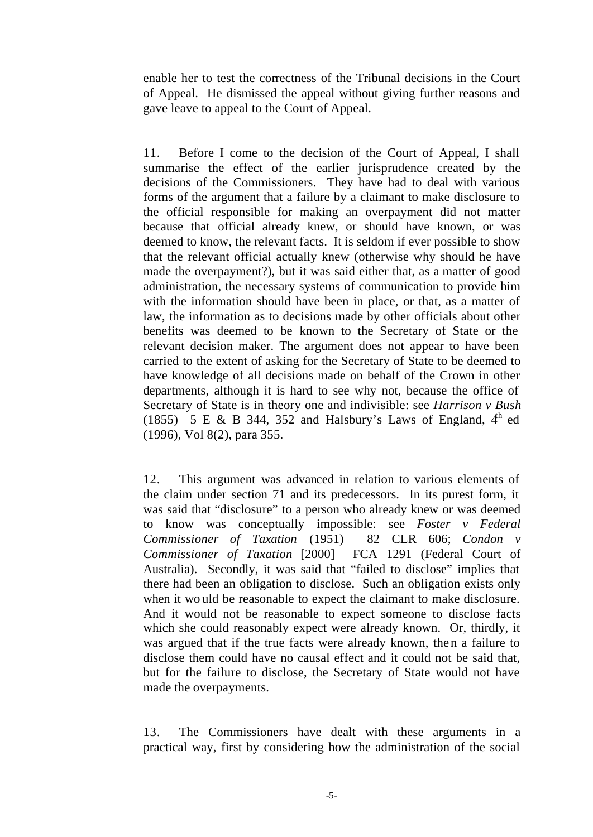enable her to test the correctness of the Tribunal decisions in the Court of Appeal. He dismissed the appeal without giving further reasons and gave leave to appeal to the Court of Appeal.

11. Before I come to the decision of the Court of Appeal, I shall summarise the effect of the earlier jurisprudence created by the decisions of the Commissioners. They have had to deal with various forms of the argument that a failure by a claimant to make disclosure to the official responsible for making an overpayment did not matter because that official already knew, or should have known, or was deemed to know, the relevant facts. It is seldom if ever possible to show that the relevant official actually knew (otherwise why should he have made the overpayment?), but it was said either that, as a matter of good administration, the necessary systems of communication to provide him with the information should have been in place, or that, as a matter of law, the information as to decisions made by other officials about other benefits was deemed to be known to the Secretary of State or the relevant decision maker. The argument does not appear to have been carried to the extent of asking for the Secretary of State to be deemed to have knowledge of all decisions made on behalf of the Crown in other departments, although it is hard to see why not, because the office of Secretary of State is in theory one and indivisible: see *Harrison v Bush* (1855) 5 E & B 344, 352 and Halsbury's Laws of England,  $4<sup>h</sup>$  ed (1996), Vol 8(2), para 355.

12. This argument was advanced in relation to various elements of the claim under section 71 and its predecessors. In its purest form, it was said that "disclosure" to a person who already knew or was deemed to know was conceptually impossible: see *Foster v Federal Commissioner of Taxation* (1951) 82 CLR 606; *Condon v Commissioner of Taxation* [2000] FCA 1291 (Federal Court of Australia). Secondly, it was said that "failed to disclose" implies that there had been an obligation to disclose. Such an obligation exists only when it wo uld be reasonable to expect the claimant to make disclosure. And it would not be reasonable to expect someone to disclose facts which she could reasonably expect were already known. Or, thirdly, it was argued that if the true facts were already known, then a failure to disclose them could have no causal effect and it could not be said that, but for the failure to disclose, the Secretary of State would not have made the overpayments.

13. The Commissioners have dealt with these arguments in a practical way, first by considering how the administration of the social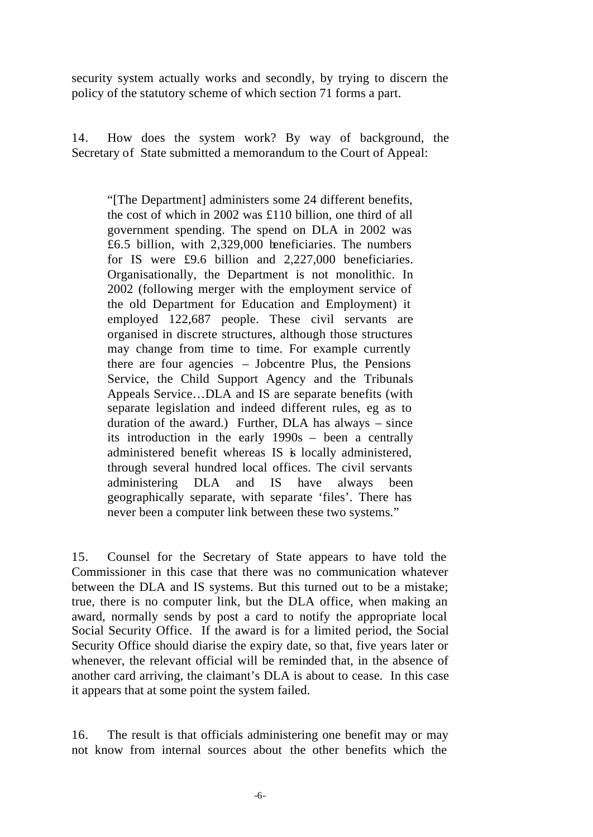security system actually works and secondly, by trying to discern the policy of the statutory scheme of which section 71 forms a part.

14. How does the system work? By way of background, the Secretary of State submitted a memorandum to the Court of Appeal:

"[The Department] administers some 24 different benefits, the cost of which in 2002 was £110 billion, one third of all government spending. The spend on DLA in 2002 was £6.5 billion, with 2,329,000 beneficiaries. The numbers for IS were £9.6 billion and 2,227,000 beneficiaries. Organisationally, the Department is not monolithic. In 2002 (following merger with the employment service of the old Department for Education and Employment) it employed 122,687 people. These civil servants are organised in discrete structures, although those structures may change from time to time. For example currently there are four agencies – Jobcentre Plus, the Pensions Service, the Child Support Agency and the Tribunals Appeals Service…DLA and IS are separate benefits (with separate legislation and indeed different rules, eg as to duration of the award.) Further, DLA has always – since its introduction in the early 1990s – been a centrally administered benefit whereas IS is locally administered, through several hundred local offices. The civil servants administering DLA and IS have always been geographically separate, with separate 'files'. There has never been a computer link between these two systems."

15. Counsel for the Secretary of State appears to have told the Commissioner in this case that there was no communication whatever between the DLA and IS systems. But this turned out to be a mistake; true, there is no computer link, but the DLA office, when making an award, normally sends by post a card to notify the appropriate local Social Security Office. If the award is for a limited period, the Social Security Office should diarise the expiry date, so that, five years later or whenever, the relevant official will be reminded that, in the absence of another card arriving, the claimant's DLA is about to cease. In this case it appears that at some point the system failed.

16. The result is that officials administering one benefit may or may not know from internal sources about the other benefits which the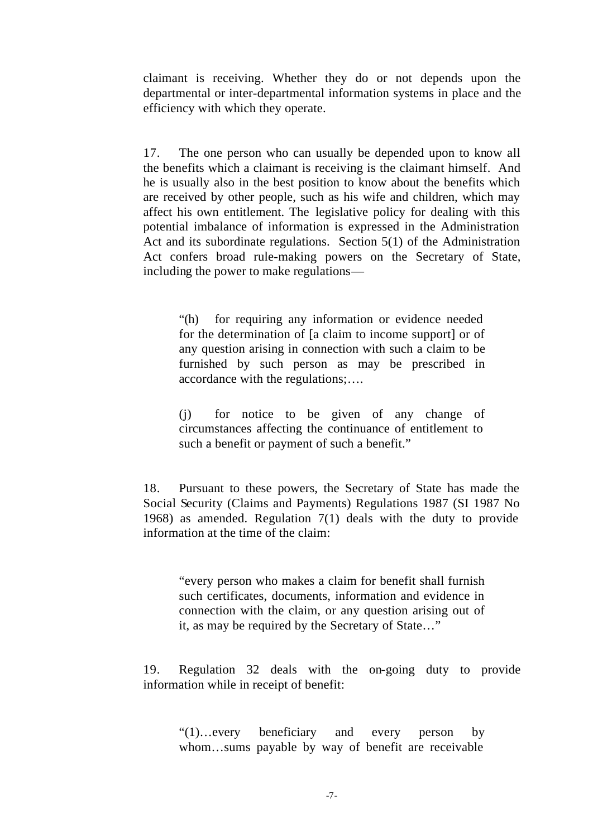claimant is receiving. Whether they do or not depends upon the departmental or inter-departmental information systems in place and the efficiency with which they operate.

17. The one person who can usually be depended upon to know all the benefits which a claimant is receiving is the claimant himself. And he is usually also in the best position to know about the benefits which are received by other people, such as his wife and children, which may affect his own entitlement. The legislative policy for dealing with this potential imbalance of information is expressed in the Administration Act and its subordinate regulations. Section 5(1) of the Administration Act confers broad rule-making powers on the Secretary of State, including the power to make regulations—

"(h) for requiring any information or evidence needed for the determination of [a claim to income support] or of any question arising in connection with such a claim to be furnished by such person as may be prescribed in accordance with the regulations;….

(j) for notice to be given of any change of circumstances affecting the continuance of entitlement to such a benefit or payment of such a benefit."

18. Pursuant to these powers, the Secretary of State has made the Social Security (Claims and Payments) Regulations 1987 (SI 1987 No 1968) as amended. Regulation 7(1) deals with the duty to provide information at the time of the claim:

"every person who makes a claim for benefit shall furnish such certificates, documents, information and evidence in connection with the claim, or any question arising out of it, as may be required by the Secretary of State…"

19. Regulation 32 deals with the on-going duty to provide information while in receipt of benefit:

"(1)…every beneficiary and every person by whom…sums payable by way of benefit are receivable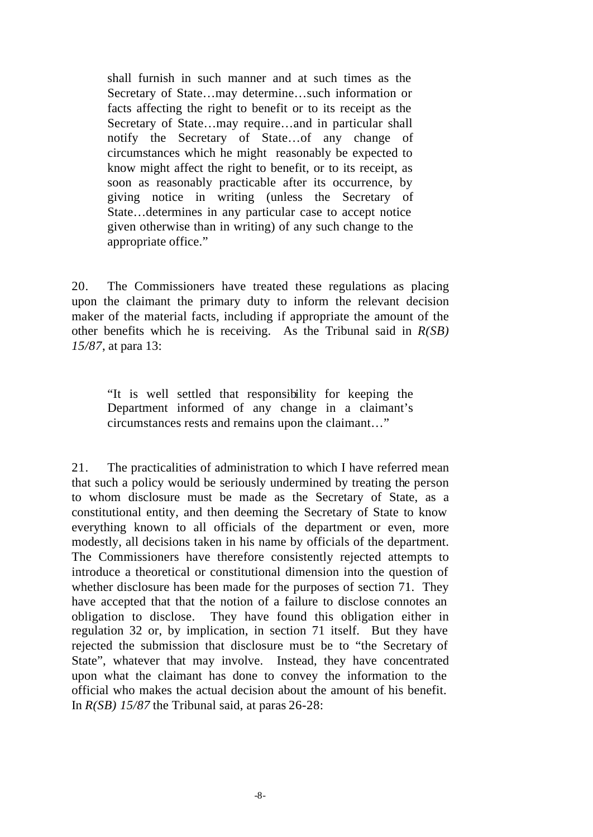shall furnish in such manner and at such times as the Secretary of State…may determine…such information or facts affecting the right to benefit or to its receipt as the Secretary of State…may require…and in particular shall notify the Secretary of State…of any change of circumstances which he might reasonably be expected to know might affect the right to benefit, or to its receipt, as soon as reasonably practicable after its occurrence, by giving notice in writing (unless the Secretary of State…determines in any particular case to accept notice given otherwise than in writing) of any such change to the appropriate office."

20. The Commissioners have treated these regulations as placing upon the claimant the primary duty to inform the relevant decision maker of the material facts, including if appropriate the amount of the other benefits which he is receiving. As the Tribunal said in *R(SB) 15/87*, at para 13:

"It is well settled that responsibility for keeping the Department informed of any change in a claimant's circumstances rests and remains upon the claimant…"

21. The practicalities of administration to which I have referred mean that such a policy would be seriously undermined by treating the person to whom disclosure must be made as the Secretary of State, as a constitutional entity, and then deeming the Secretary of State to know everything known to all officials of the department or even, more modestly, all decisions taken in his name by officials of the department. The Commissioners have therefore consistently rejected attempts to introduce a theoretical or constitutional dimension into the question of whether disclosure has been made for the purposes of section 71. They have accepted that that the notion of a failure to disclose connotes an obligation to disclose. They have found this obligation either in regulation 32 or, by implication, in section 71 itself. But they have rejected the submission that disclosure must be to "the Secretary of State", whatever that may involve. Instead, they have concentrated upon what the claimant has done to convey the information to the official who makes the actual decision about the amount of his benefit. In *R(SB) 15/87* the Tribunal said, at paras 26-28: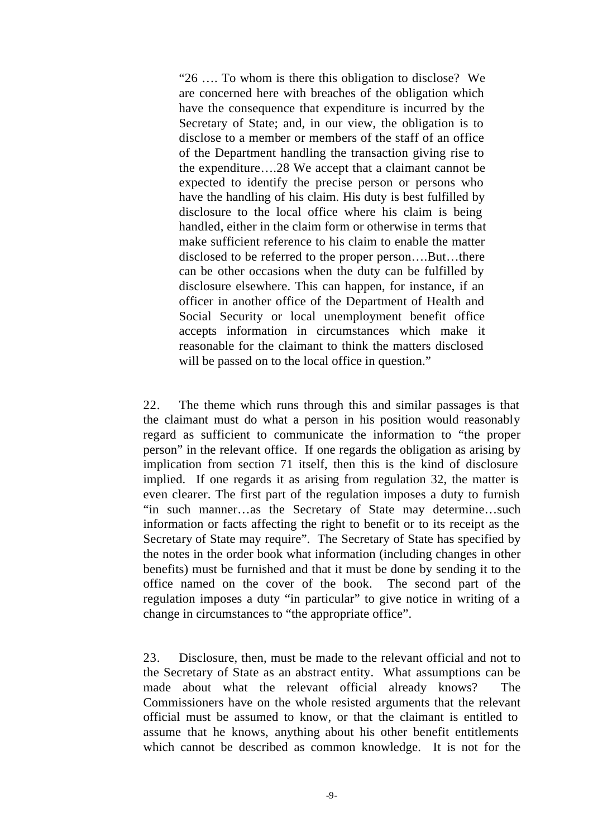"26 …. To whom is there this obligation to disclose? We are concerned here with breaches of the obligation which have the consequence that expenditure is incurred by the Secretary of State; and, in our view, the obligation is to disclose to a member or members of the staff of an office of the Department handling the transaction giving rise to the expenditure….28 We accept that a claimant cannot be expected to identify the precise person or persons who have the handling of his claim. His duty is best fulfilled by disclosure to the local office where his claim is being handled, either in the claim form or otherwise in terms that make sufficient reference to his claim to enable the matter disclosed to be referred to the proper person….But…there can be other occasions when the duty can be fulfilled by disclosure elsewhere. This can happen, for instance, if an officer in another office of the Department of Health and Social Security or local unemployment benefit office accepts information in circumstances which make it reasonable for the claimant to think the matters disclosed will be passed on to the local office in question."

22. The theme which runs through this and similar passages is that the claimant must do what a person in his position would reasonably regard as sufficient to communicate the information to "the proper person" in the relevant office. If one regards the obligation as arising by implication from section 71 itself, then this is the kind of disclosure implied. If one regards it as arising from regulation 32, the matter is even clearer. The first part of the regulation imposes a duty to furnish "in such manner…as the Secretary of State may determine…such information or facts affecting the right to benefit or to its receipt as the Secretary of State may require". The Secretary of State has specified by the notes in the order book what information (including changes in other benefits) must be furnished and that it must be done by sending it to the office named on the cover of the book. The second part of the regulation imposes a duty "in particular" to give notice in writing of a change in circumstances to "the appropriate office".

23. Disclosure, then, must be made to the relevant official and not to the Secretary of State as an abstract entity. What assumptions can be made about what the relevant official already knows? The Commissioners have on the whole resisted arguments that the relevant official must be assumed to know, or that the claimant is entitled to assume that he knows, anything about his other benefit entitlements which cannot be described as common knowledge. It is not for the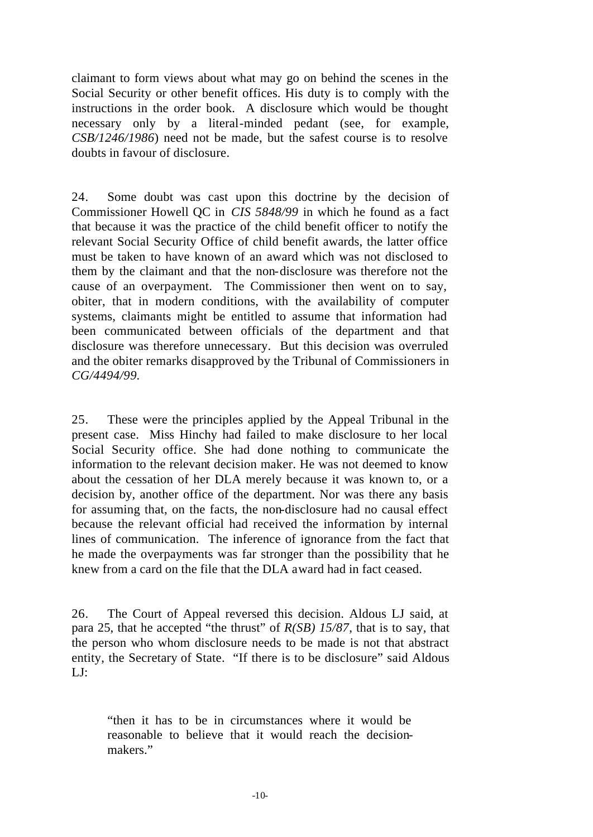claimant to form views about what may go on behind the scenes in the Social Security or other benefit offices. His duty is to comply with the instructions in the order book. A disclosure which would be thought necessary only by a literal-minded pedant (see, for example, *CSB/1246/1986*) need not be made, but the safest course is to resolve doubts in favour of disclosure.

24. Some doubt was cast upon this doctrine by the decision of Commissioner Howell QC in *CIS 5848/99* in which he found as a fact that because it was the practice of the child benefit officer to notify the relevant Social Security Office of child benefit awards, the latter office must be taken to have known of an award which was not disclosed to them by the claimant and that the non-disclosure was therefore not the cause of an overpayment. The Commissioner then went on to say, obiter, that in modern conditions, with the availability of computer systems, claimants might be entitled to assume that information had been communicated between officials of the department and that disclosure was therefore unnecessary. But this decision was overruled and the obiter remarks disapproved by the Tribunal of Commissioners in *CG/4494/99.*

25. These were the principles applied by the Appeal Tribunal in the present case. Miss Hinchy had failed to make disclosure to her local Social Security office. She had done nothing to communicate the information to the relevant decision maker. He was not deemed to know about the cessation of her DLA merely because it was known to, or a decision by, another office of the department. Nor was there any basis for assuming that, on the facts, the non-disclosure had no causal effect because the relevant official had received the information by internal lines of communication. The inference of ignorance from the fact that he made the overpayments was far stronger than the possibility that he knew from a card on the file that the DLA award had in fact ceased.

26. The Court of Appeal reversed this decision. Aldous LJ said, at para 25, that he accepted "the thrust" of *R(SB) 15/87*, that is to say, that the person who whom disclosure needs to be made is not that abstract entity, the Secretary of State. "If there is to be disclosure" said Aldous  $LI:$ 

"then it has to be in circumstances where it would be reasonable to believe that it would reach the decisionmakers."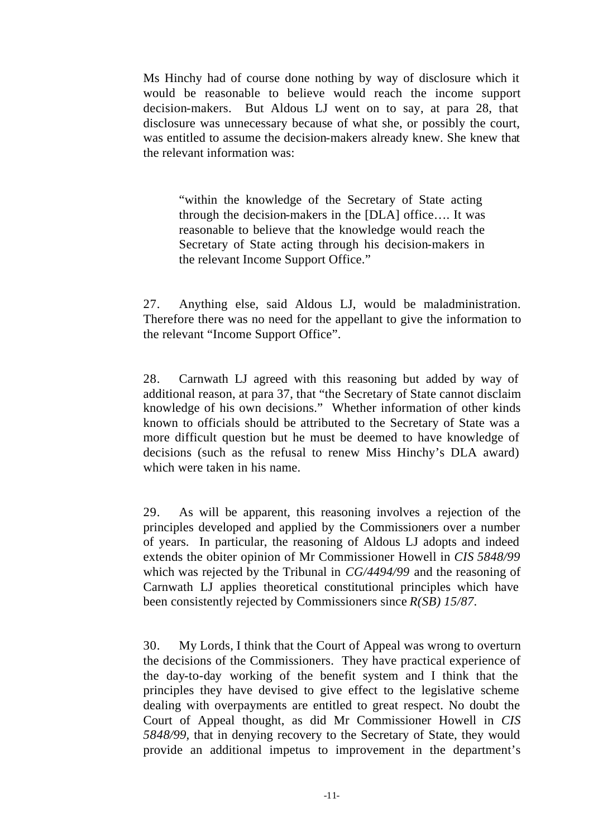Ms Hinchy had of course done nothing by way of disclosure which it would be reasonable to believe would reach the income support decision-makers. But Aldous LJ went on to say, at para 28, that disclosure was unnecessary because of what she, or possibly the court, was entitled to assume the decision-makers already knew. She knew that the relevant information was:

"within the knowledge of the Secretary of State acting through the decision-makers in the [DLA] office…. It was reasonable to believe that the knowledge would reach the Secretary of State acting through his decision-makers in the relevant Income Support Office."

27. Anything else, said Aldous LJ, would be maladministration. Therefore there was no need for the appellant to give the information to the relevant "Income Support Office".

28. Carnwath LJ agreed with this reasoning but added by way of additional reason, at para 37, that "the Secretary of State cannot disclaim knowledge of his own decisions." Whether information of other kinds known to officials should be attributed to the Secretary of State was a more difficult question but he must be deemed to have knowledge of decisions (such as the refusal to renew Miss Hinchy's DLA award) which were taken in his name.

29. As will be apparent, this reasoning involves a rejection of the principles developed and applied by the Commissioners over a number of years. In particular, the reasoning of Aldous LJ adopts and indeed extends the obiter opinion of Mr Commissioner Howell in *CIS 5848/99*  which was rejected by the Tribunal in *CG/4494/99* and the reasoning of Carnwath LJ applies theoretical constitutional principles which have been consistently rejected by Commissioners since *R(SB) 15/87.*

30. My Lords, I think that the Court of Appeal was wrong to overturn the decisions of the Commissioners. They have practical experience of the day-to-day working of the benefit system and I think that the principles they have devised to give effect to the legislative scheme dealing with overpayments are entitled to great respect. No doubt the Court of Appeal thought, as did Mr Commissioner Howell in *CIS 5848/99,* that in denying recovery to the Secretary of State, they would provide an additional impetus to improvement in the department's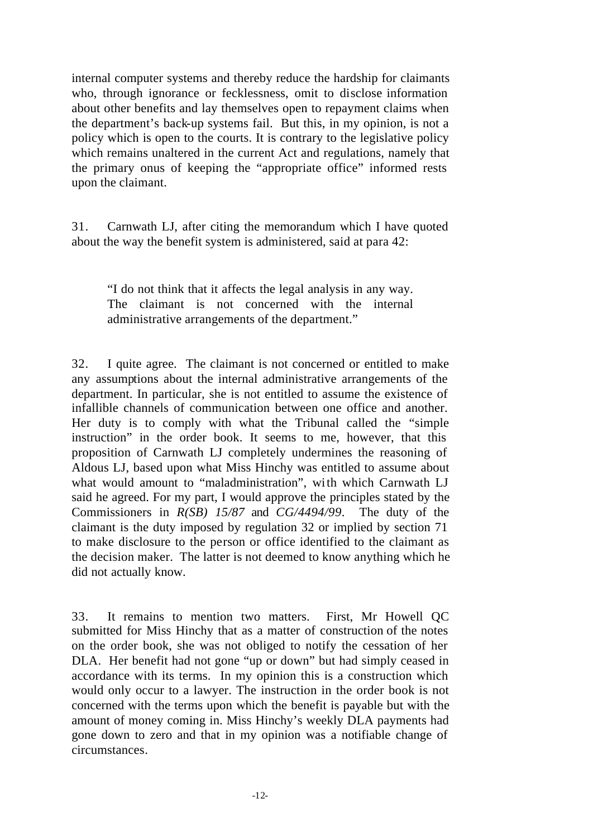internal computer systems and thereby reduce the hardship for claimants who, through ignorance or fecklessness, omit to disclose information about other benefits and lay themselves open to repayment claims when the department's back-up systems fail. But this, in my opinion, is not a policy which is open to the courts. It is contrary to the legislative policy which remains unaltered in the current Act and regulations, namely that the primary onus of keeping the "appropriate office" informed rests upon the claimant.

31. Carnwath LJ, after citing the memorandum which I have quoted about the way the benefit system is administered, said at para 42:

"I do not think that it affects the legal analysis in any way. The claimant is not concerned with the internal administrative arrangements of the department."

32. I quite agree. The claimant is not concerned or entitled to make any assumptions about the internal administrative arrangements of the department. In particular, she is not entitled to assume the existence of infallible channels of communication between one office and another. Her duty is to comply with what the Tribunal called the "simple instruction" in the order book. It seems to me, however, that this proposition of Carnwath LJ completely undermines the reasoning of Aldous LJ, based upon what Miss Hinchy was entitled to assume about what would amount to "maladministration", with which Carnwath LJ said he agreed. For my part, I would approve the principles stated by the Commissioners in *R(SB) 15/87* and *CG/4494/99*. The duty of the claimant is the duty imposed by regulation 32 or implied by section 71 to make disclosure to the person or office identified to the claimant as the decision maker. The latter is not deemed to know anything which he did not actually know.

33. It remains to mention two matters. First, Mr Howell QC submitted for Miss Hinchy that as a matter of construction of the notes on the order book, she was not obliged to notify the cessation of her DLA. Her benefit had not gone "up or down" but had simply ceased in accordance with its terms. In my opinion this is a construction which would only occur to a lawyer. The instruction in the order book is not concerned with the terms upon which the benefit is payable but with the amount of money coming in. Miss Hinchy's weekly DLA payments had gone down to zero and that in my opinion was a notifiable change of circumstances.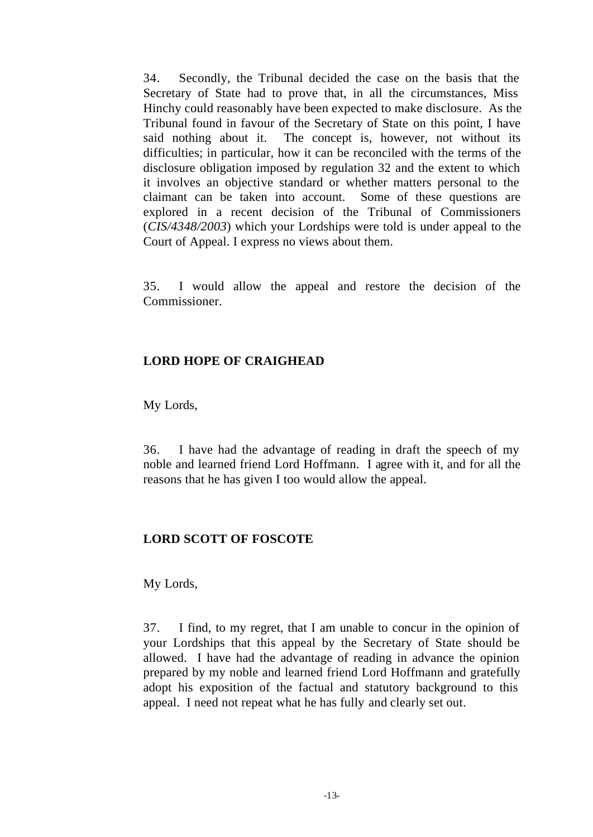34. Secondly, the Tribunal decided the case on the basis that the Secretary of State had to prove that, in all the circumstances, Miss Hinchy could reasonably have been expected to make disclosure. As the Tribunal found in favour of the Secretary of State on this point, I have said nothing about it. The concept is, however, not without its difficulties; in particular, how it can be reconciled with the terms of the disclosure obligation imposed by regulation 32 and the extent to which it involves an objective standard or whether matters personal to the claimant can be taken into account. Some of these questions are explored in a recent decision of the Tribunal of Commissioners (*CIS/4348/2003*) which your Lordships were told is under appeal to the Court of Appeal. I express no views about them.

35. I would allow the appeal and restore the decision of the Commissioner.

#### **LORD HOPE OF CRAIGHEAD**

My Lords,

36. I have had the advantage of reading in draft the speech of my noble and learned friend Lord Hoffmann. I agree with it, and for all the reasons that he has given I too would allow the appeal.

## **LORD SCOTT OF FOSCOTE**

My Lords,

37. I find, to my regret, that I am unable to concur in the opinion of your Lordships that this appeal by the Secretary of State should be allowed. I have had the advantage of reading in advance the opinion prepared by my noble and learned friend Lord Hoffmann and gratefully adopt his exposition of the factual and statutory background to this appeal. I need not repeat what he has fully and clearly set out.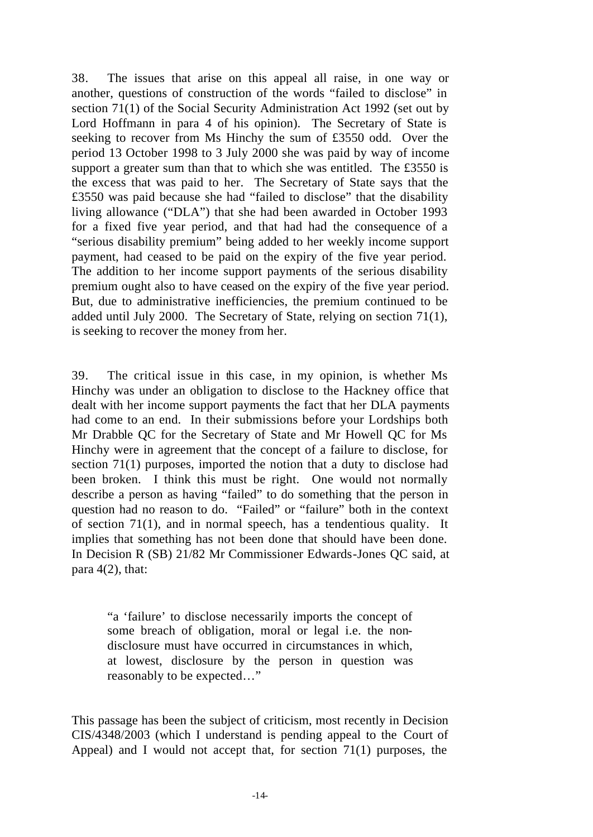38. The issues that arise on this appeal all raise, in one way or another, questions of construction of the words "failed to disclose" in section 71(1) of the Social Security Administration Act 1992 (set out by Lord Hoffmann in para 4 of his opinion). The Secretary of State is seeking to recover from Ms Hinchy the sum of £3550 odd. Over the period 13 October 1998 to 3 July 2000 she was paid by way of income support a greater sum than that to which she was entitled. The £3550 is the excess that was paid to her. The Secretary of State says that the £3550 was paid because she had "failed to disclose" that the disability living allowance ("DLA") that she had been awarded in October 1993 for a fixed five year period, and that had had the consequence of a "serious disability premium" being added to her weekly income support payment, had ceased to be paid on the expiry of the five year period. The addition to her income support payments of the serious disability premium ought also to have ceased on the expiry of the five year period. But, due to administrative inefficiencies, the premium continued to be added until July 2000. The Secretary of State, relying on section 71(1), is seeking to recover the money from her.

39. The critical issue in this case, in my opinion, is whether Ms Hinchy was under an obligation to disclose to the Hackney office that dealt with her income support payments the fact that her DLA payments had come to an end. In their submissions before your Lordships both Mr Drabble QC for the Secretary of State and Mr Howell QC for Ms Hinchy were in agreement that the concept of a failure to disclose, for section 71(1) purposes, imported the notion that a duty to disclose had been broken. I think this must be right. One would not normally describe a person as having "failed" to do something that the person in question had no reason to do. "Failed" or "failure" both in the context of section 71(1), and in normal speech, has a tendentious quality. It implies that something has not been done that should have been done. In Decision R (SB) 21/82 Mr Commissioner Edwards-Jones QC said, at para  $4(2)$ , that:

"a 'failure' to disclose necessarily imports the concept of some breach of obligation, moral or legal i.e. the nondisclosure must have occurred in circumstances in which, at lowest, disclosure by the person in question was reasonably to be expected…"

This passage has been the subject of criticism, most recently in Decision CIS/4348/2003 (which I understand is pending appeal to the Court of Appeal) and I would not accept that, for section 71(1) purposes, the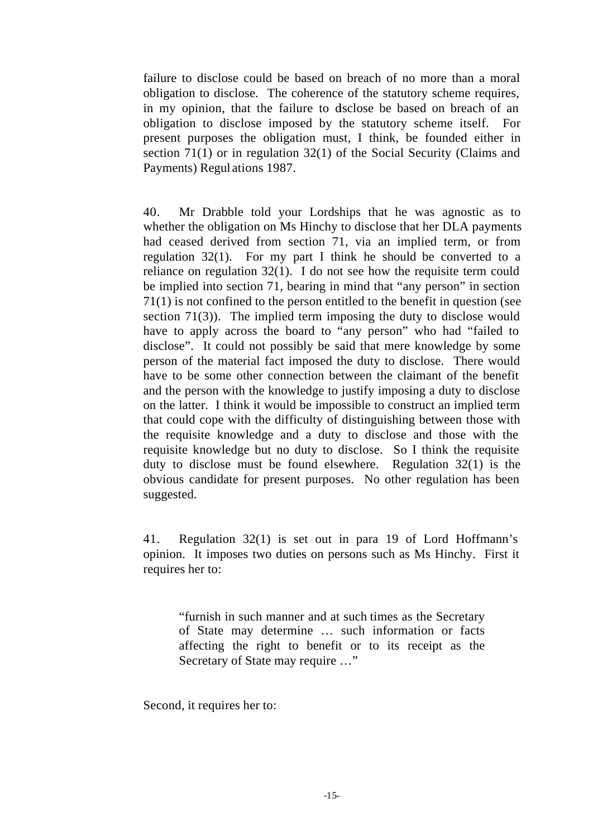failure to disclose could be based on breach of no more than a moral obligation to disclose. The coherence of the statutory scheme requires, in my opinion, that the failure to disclose be based on breach of an obligation to disclose imposed by the statutory scheme itself. For present purposes the obligation must, I think, be founded either in section 71(1) or in regulation 32(1) of the Social Security (Claims and Payments) Regul ations 1987.

40. Mr Drabble told your Lordships that he was agnostic as to whether the obligation on Ms Hinchy to disclose that her DLA payments had ceased derived from section 71, via an implied term, or from regulation 32(1). For my part I think he should be converted to a reliance on regulation 32(1). I do not see how the requisite term could be implied into section 71, bearing in mind that "any person" in section 71(1) is not confined to the person entitled to the benefit in question (see section 71(3)). The implied term imposing the duty to disclose would have to apply across the board to "any person" who had "failed to disclose". It could not possibly be said that mere knowledge by some person of the material fact imposed the duty to disclose. There would have to be some other connection between the claimant of the benefit and the person with the knowledge to justify imposing a duty to disclose on the latter. I think it would be impossible to construct an implied term that could cope with the difficulty of distinguishing between those with the requisite knowledge and a duty to disclose and those with the requisite knowledge but no duty to disclose. So I think the requisite duty to disclose must be found elsewhere. Regulation 32(1) is the obvious candidate for present purposes. No other regulation has been suggested.

41. Regulation 32(1) is set out in para 19 of Lord Hoffmann's opinion. It imposes two duties on persons such as Ms Hinchy. First it requires her to:

"furnish in such manner and at such times as the Secretary of State may determine … such information or facts affecting the right to benefit or to its receipt as the Secretary of State may require …"

Second, it requires her to: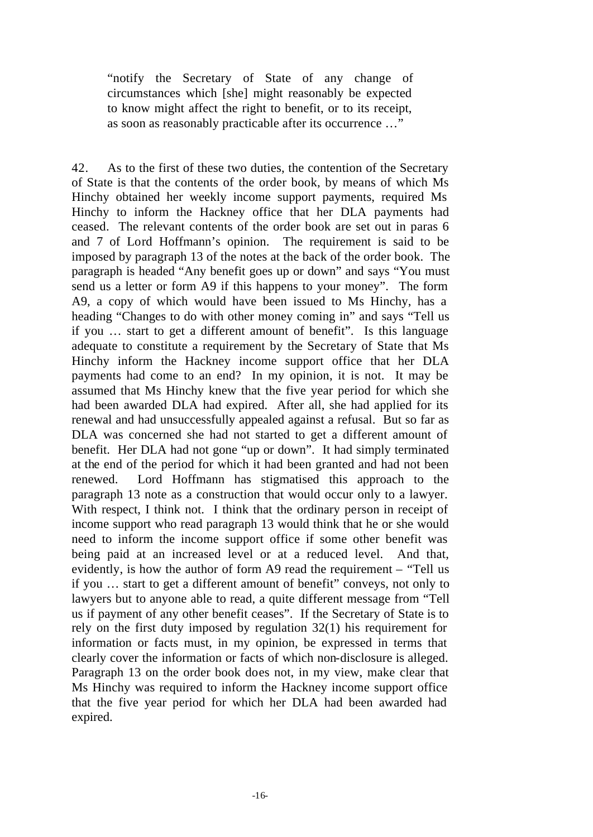"notify the Secretary of State of any change of circumstances which [she] might reasonably be expected to know might affect the right to benefit, or to its receipt, as soon as reasonably practicable after its occurrence …"

42. As to the first of these two duties, the contention of the Secretary of State is that the contents of the order book, by means of which Ms Hinchy obtained her weekly income support payments, required Ms Hinchy to inform the Hackney office that her DLA payments had ceased. The relevant contents of the order book are set out in paras 6 and 7 of Lord Hoffmann's opinion. The requirement is said to be imposed by paragraph 13 of the notes at the back of the order book. The paragraph is headed "Any benefit goes up or down" and says "You must send us a letter or form A9 if this happens to your money". The form A9, a copy of which would have been issued to Ms Hinchy, has a heading "Changes to do with other money coming in" and says "Tell us if you … start to get a different amount of benefit". Is this language adequate to constitute a requirement by the Secretary of State that Ms Hinchy inform the Hackney income support office that her DLA payments had come to an end? In my opinion, it is not. It may be assumed that Ms Hinchy knew that the five year period for which she had been awarded DLA had expired. After all, she had applied for its renewal and had unsuccessfully appealed against a refusal. But so far as DLA was concerned she had not started to get a different amount of benefit. Her DLA had not gone "up or down". It had simply terminated at the end of the period for which it had been granted and had not been renewed. Lord Hoffmann has stigmatised this approach to the paragraph 13 note as a construction that would occur only to a lawyer. With respect, I think not. I think that the ordinary person in receipt of income support who read paragraph 13 would think that he or she would need to inform the income support office if some other benefit was being paid at an increased level or at a reduced level. And that, evidently, is how the author of form A9 read the requirement – "Tell us if you … start to get a different amount of benefit" conveys, not only to lawyers but to anyone able to read, a quite different message from "Tell us if payment of any other benefit ceases". If the Secretary of State is to rely on the first duty imposed by regulation 32(1) his requirement for information or facts must, in my opinion, be expressed in terms that clearly cover the information or facts of which non-disclosure is alleged. Paragraph 13 on the order book does not, in my view, make clear that Ms Hinchy was required to inform the Hackney income support office that the five year period for which her DLA had been awarded had expired.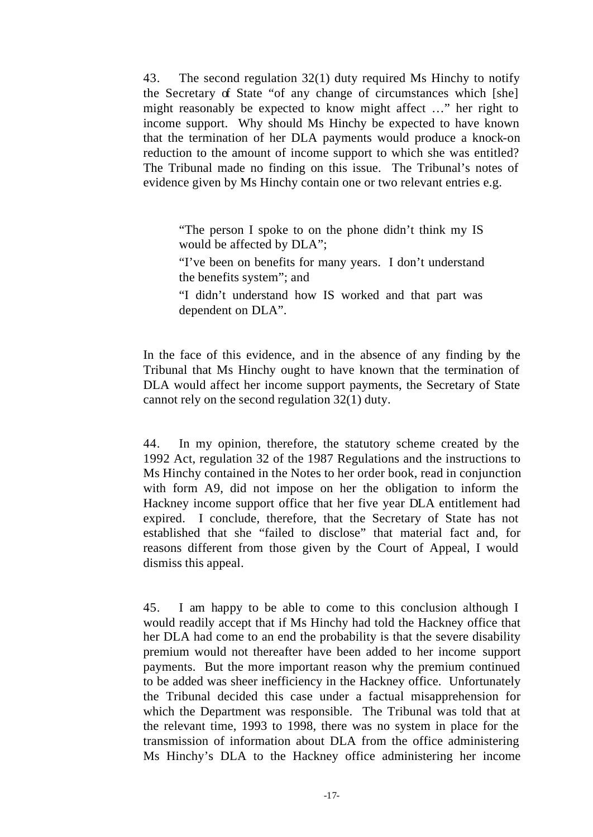43. The second regulation 32(1) duty required Ms Hinchy to notify the Secretary of State "of any change of circumstances which [she] might reasonably be expected to know might affect …" her right to income support. Why should Ms Hinchy be expected to have known that the termination of her DLA payments would produce a knock-on reduction to the amount of income support to which she was entitled? The Tribunal made no finding on this issue. The Tribunal's notes of evidence given by Ms Hinchy contain one or two relevant entries e.g.

"The person I spoke to on the phone didn't think my IS would be affected by DLA";

"I've been on benefits for many years. I don't understand the benefits system"; and

"I didn't understand how IS worked and that part was dependent on DLA".

In the face of this evidence, and in the absence of any finding by the Tribunal that Ms Hinchy ought to have known that the termination of DLA would affect her income support payments, the Secretary of State cannot rely on the second regulation 32(1) duty.

44. In my opinion, therefore, the statutory scheme created by the 1992 Act, regulation 32 of the 1987 Regulations and the instructions to Ms Hinchy contained in the Notes to her order book, read in conjunction with form A9, did not impose on her the obligation to inform the Hackney income support office that her five year DLA entitlement had expired. I conclude, therefore, that the Secretary of State has not established that she "failed to disclose" that material fact and, for reasons different from those given by the Court of Appeal, I would dismiss this appeal.

45. I am happy to be able to come to this conclusion although I would readily accept that if Ms Hinchy had told the Hackney office that her DLA had come to an end the probability is that the severe disability premium would not thereafter have been added to her income support payments. But the more important reason why the premium continued to be added was sheer inefficiency in the Hackney office. Unfortunately the Tribunal decided this case under a factual misapprehension for which the Department was responsible. The Tribunal was told that at the relevant time, 1993 to 1998, there was no system in place for the transmission of information about DLA from the office administering Ms Hinchy's DLA to the Hackney office administering her income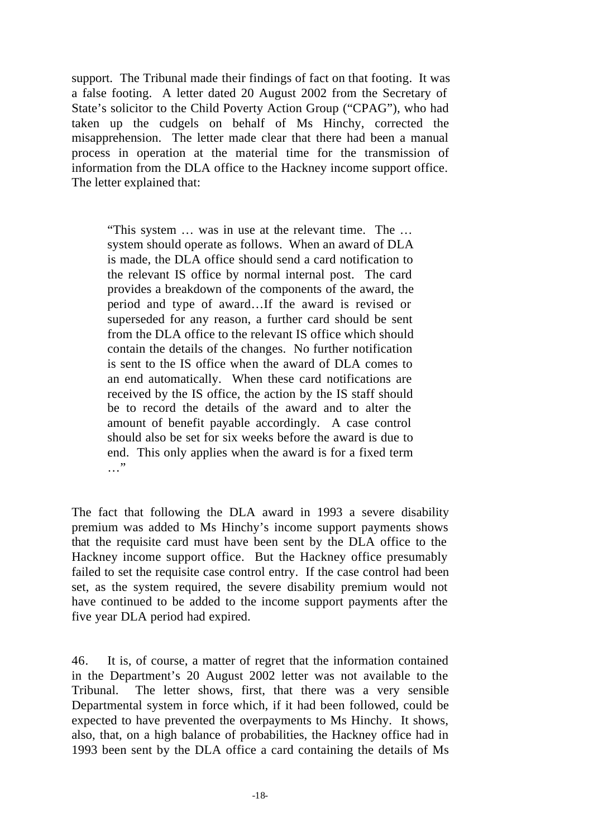support. The Tribunal made their findings of fact on that footing. It was a false footing. A letter dated 20 August 2002 from the Secretary of State's solicitor to the Child Poverty Action Group ("CPAG"), who had taken up the cudgels on behalf of Ms Hinchy, corrected the misapprehension. The letter made clear that there had been a manual process in operation at the material time for the transmission of information from the DLA office to the Hackney income support office. The letter explained that:

"This system … was in use at the relevant time. The … system should operate as follows. When an award of DLA is made, the DLA office should send a card notification to the relevant IS office by normal internal post. The card provides a breakdown of the components of the award, the period and type of award…If the award is revised or superseded for any reason, a further card should be sent from the DLA office to the relevant IS office which should contain the details of the changes. No further notification is sent to the IS office when the award of DLA comes to an end automatically. When these card notifications are received by the IS office, the action by the IS staff should be to record the details of the award and to alter the amount of benefit payable accordingly. A case control should also be set for six weeks before the award is due to end. This only applies when the award is for a fixed term …"

The fact that following the DLA award in 1993 a severe disability premium was added to Ms Hinchy's income support payments shows that the requisite card must have been sent by the DLA office to the Hackney income support office. But the Hackney office presumably failed to set the requisite case control entry. If the case control had been set, as the system required, the severe disability premium would not have continued to be added to the income support payments after the five year DLA period had expired.

46. It is, of course, a matter of regret that the information contained in the Department's 20 August 2002 letter was not available to the Tribunal. The letter shows, first, that there was a very sensible Departmental system in force which, if it had been followed, could be expected to have prevented the overpayments to Ms Hinchy. It shows, also, that, on a high balance of probabilities, the Hackney office had in 1993 been sent by the DLA office a card containing the details of Ms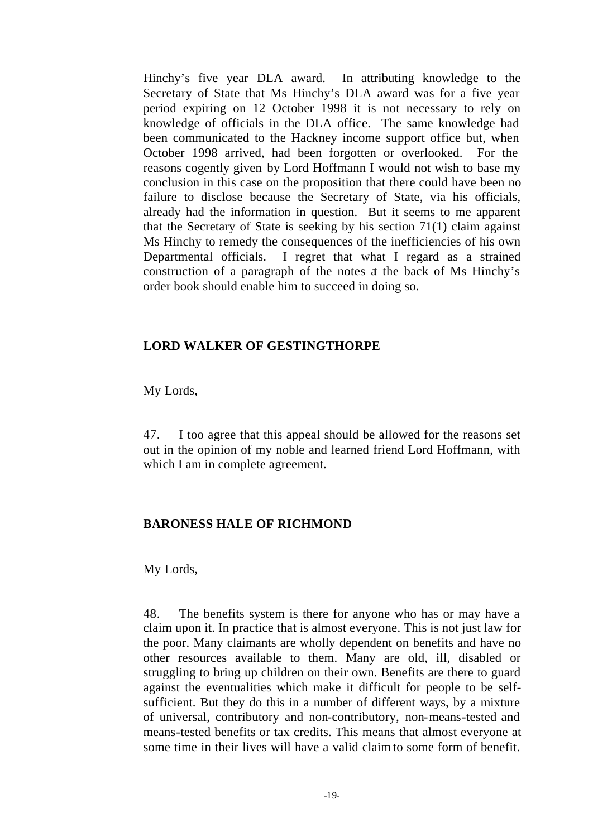Hinchy's five year DLA award. In attributing knowledge to the Secretary of State that Ms Hinchy's DLA award was for a five year period expiring on 12 October 1998 it is not necessary to rely on knowledge of officials in the DLA office. The same knowledge had been communicated to the Hackney income support office but, when October 1998 arrived, had been forgotten or overlooked. For the reasons cogently given by Lord Hoffmann I would not wish to base my conclusion in this case on the proposition that there could have been no failure to disclose because the Secretary of State, via his officials, already had the information in question. But it seems to me apparent that the Secretary of State is seeking by his section 71(1) claim against Ms Hinchy to remedy the consequences of the inefficiencies of his own Departmental officials. I regret that what I regard as a strained construction of a paragraph of the notes at the back of Ms Hinchy's order book should enable him to succeed in doing so.

#### **LORD WALKER OF GESTINGTHORPE**

My Lords,

47. I too agree that this appeal should be allowed for the reasons set out in the opinion of my noble and learned friend Lord Hoffmann, with which I am in complete agreement.

## **BARONESS HALE OF RICHMOND**

My Lords,

48. The benefits system is there for anyone who has or may have a claim upon it. In practice that is almost everyone. This is not just law for the poor. Many claimants are wholly dependent on benefits and have no other resources available to them. Many are old, ill, disabled or struggling to bring up children on their own. Benefits are there to guard against the eventualities which make it difficult for people to be selfsufficient. But they do this in a number of different ways, by a mixture of universal, contributory and non-contributory, non-means-tested and means-tested benefits or tax credits. This means that almost everyone at some time in their lives will have a valid claim to some form of benefit.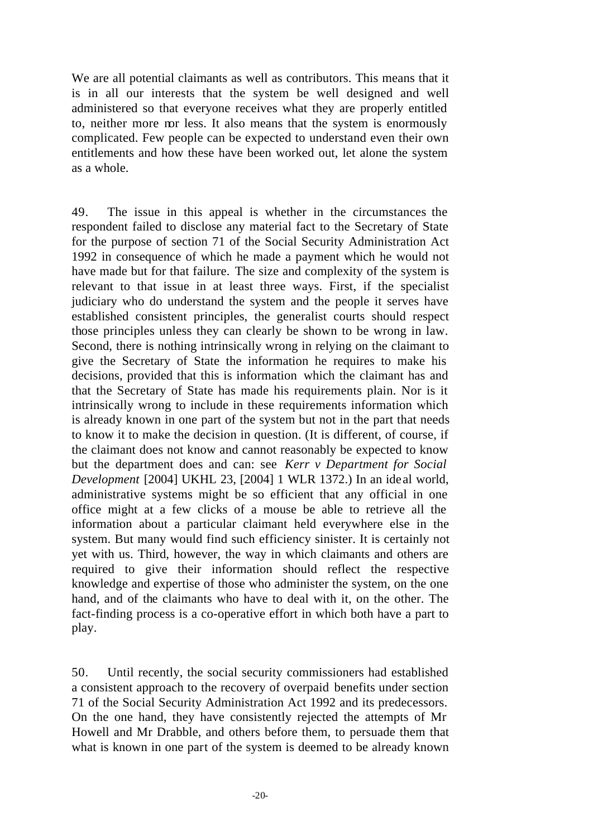We are all potential claimants as well as contributors. This means that it is in all our interests that the system be well designed and well administered so that everyone receives what they are properly entitled to, neither more nor less. It also means that the system is enormously complicated. Few people can be expected to understand even their own entitlements and how these have been worked out, let alone the system as a whole.

49. The issue in this appeal is whether in the circumstances the respondent failed to disclose any material fact to the Secretary of State for the purpose of section 71 of the Social Security Administration Act 1992 in consequence of which he made a payment which he would not have made but for that failure. The size and complexity of the system is relevant to that issue in at least three ways. First, if the specialist judiciary who do understand the system and the people it serves have established consistent principles, the generalist courts should respect those principles unless they can clearly be shown to be wrong in law. Second, there is nothing intrinsically wrong in relying on the claimant to give the Secretary of State the information he requires to make his decisions, provided that this is information which the claimant has and that the Secretary of State has made his requirements plain. Nor is it intrinsically wrong to include in these requirements information which is already known in one part of the system but not in the part that needs to know it to make the decision in question. (It is different, of course, if the claimant does not know and cannot reasonably be expected to know but the department does and can: see *Kerr v Department for Social Development* [2004] UKHL 23, [2004] 1 WLR 1372.) In an ide al world, administrative systems might be so efficient that any official in one office might at a few clicks of a mouse be able to retrieve all the information about a particular claimant held everywhere else in the system. But many would find such efficiency sinister. It is certainly not yet with us. Third, however, the way in which claimants and others are required to give their information should reflect the respective knowledge and expertise of those who administer the system, on the one hand, and of the claimants who have to deal with it, on the other. The fact-finding process is a co-operative effort in which both have a part to play.

50. Until recently, the social security commissioners had established a consistent approach to the recovery of overpaid benefits under section 71 of the Social Security Administration Act 1992 and its predecessors. On the one hand, they have consistently rejected the attempts of Mr Howell and Mr Drabble, and others before them, to persuade them that what is known in one part of the system is deemed to be already known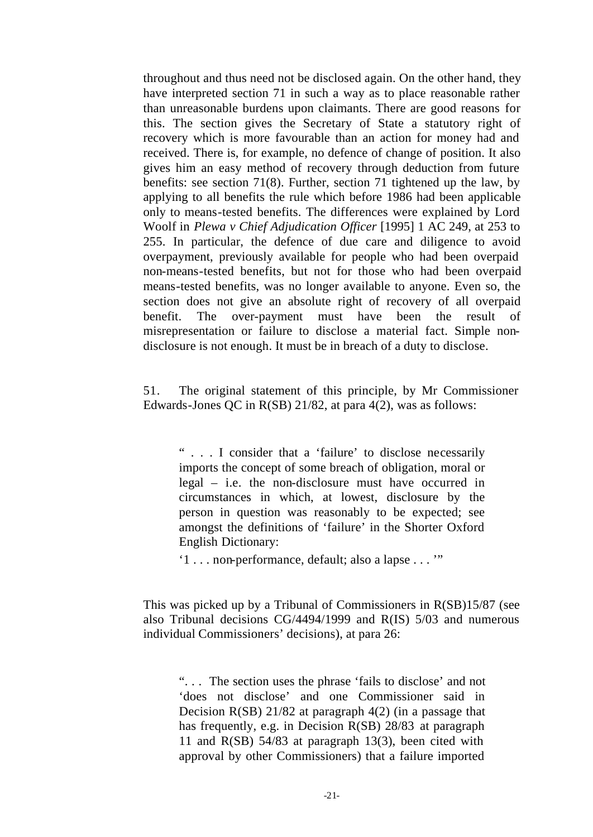throughout and thus need not be disclosed again. On the other hand, they have interpreted section 71 in such a way as to place reasonable rather than unreasonable burdens upon claimants. There are good reasons for this. The section gives the Secretary of State a statutory right of recovery which is more favourable than an action for money had and received. There is, for example, no defence of change of position. It also gives him an easy method of recovery through deduction from future benefits: see section 71(8). Further, section 71 tightened up the law, by applying to all benefits the rule which before 1986 had been applicable only to means-tested benefits. The differences were explained by Lord Woolf in *Plewa v Chief Adjudication Officer* [1995] 1 AC 249, at 253 to 255. In particular, the defence of due care and diligence to avoid overpayment, previously available for people who had been overpaid non-means-tested benefits, but not for those who had been overpaid means-tested benefits, was no longer available to anyone. Even so, the section does not give an absolute right of recovery of all overpaid benefit. The over-payment must have been the result of misrepresentation or failure to disclose a material fact. Simple nondisclosure is not enough. It must be in breach of a duty to disclose.

51. The original statement of this principle, by Mr Commissioner Edwards-Jones QC in R(SB) 21/82, at para 4(2), was as follows:

" . . . I consider that a 'failure' to disclose necessarily imports the concept of some breach of obligation, moral or legal – i.e. the non-disclosure must have occurred in circumstances in which, at lowest, disclosure by the person in question was reasonably to be expected; see amongst the definitions of 'failure' in the Shorter Oxford English Dictionary:

'1 . . . non-performance, default; also a lapse . . . '"

This was picked up by a Tribunal of Commissioners in R(SB)15/87 (see also Tribunal decisions CG/4494/1999 and R(IS) 5/03 and numerous individual Commissioners' decisions), at para 26:

". . . The section uses the phrase 'fails to disclose' and not 'does not disclose' and one Commissioner said in Decision R(SB) 21/82 at paragraph 4(2) (in a passage that has frequently, e.g. in Decision R(SB) 28/83 at paragraph 11 and R(SB) 54/83 at paragraph 13(3), been cited with approval by other Commissioners) that a failure imported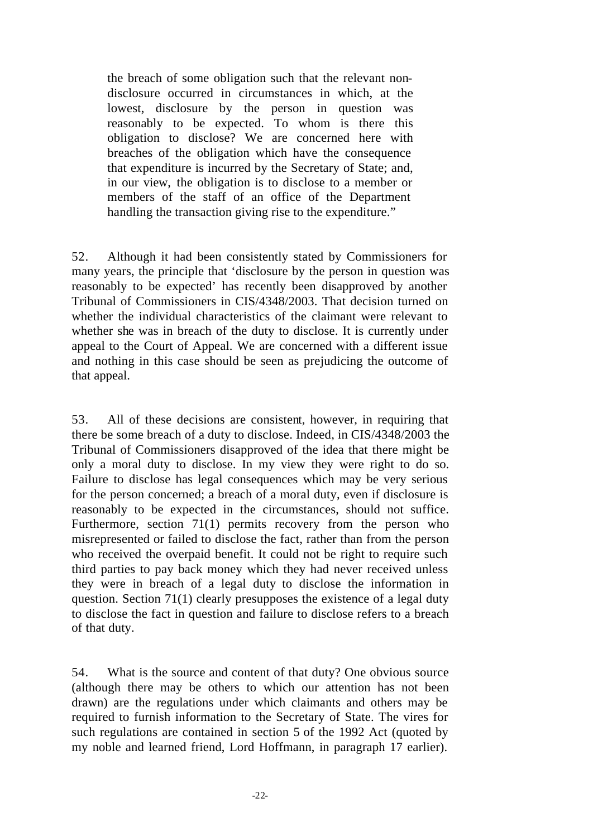the breach of some obligation such that the relevant nondisclosure occurred in circumstances in which, at the lowest, disclosure by the person in question was reasonably to be expected. To whom is there this obligation to disclose? We are concerned here with breaches of the obligation which have the consequence that expenditure is incurred by the Secretary of State; and, in our view, the obligation is to disclose to a member or members of the staff of an office of the Department handling the transaction giving rise to the expenditure."

52. Although it had been consistently stated by Commissioners for many years, the principle that 'disclosure by the person in question was reasonably to be expected' has recently been disapproved by another Tribunal of Commissioners in CIS/4348/2003. That decision turned on whether the individual characteristics of the claimant were relevant to whether she was in breach of the duty to disclose. It is currently under appeal to the Court of Appeal. We are concerned with a different issue and nothing in this case should be seen as prejudicing the outcome of that appeal.

53. All of these decisions are consistent, however, in requiring that there be some breach of a duty to disclose. Indeed, in CIS/4348/2003 the Tribunal of Commissioners disapproved of the idea that there might be only a moral duty to disclose. In my view they were right to do so. Failure to disclose has legal consequences which may be very serious for the person concerned; a breach of a moral duty, even if disclosure is reasonably to be expected in the circumstances, should not suffice. Furthermore, section 71(1) permits recovery from the person who misrepresented or failed to disclose the fact, rather than from the person who received the overpaid benefit. It could not be right to require such third parties to pay back money which they had never received unless they were in breach of a legal duty to disclose the information in question. Section 71(1) clearly presupposes the existence of a legal duty to disclose the fact in question and failure to disclose refers to a breach of that duty.

54. What is the source and content of that duty? One obvious source (although there may be others to which our attention has not been drawn) are the regulations under which claimants and others may be required to furnish information to the Secretary of State. The vires for such regulations are contained in section 5 of the 1992 Act (quoted by my noble and learned friend, Lord Hoffmann, in paragraph 17 earlier).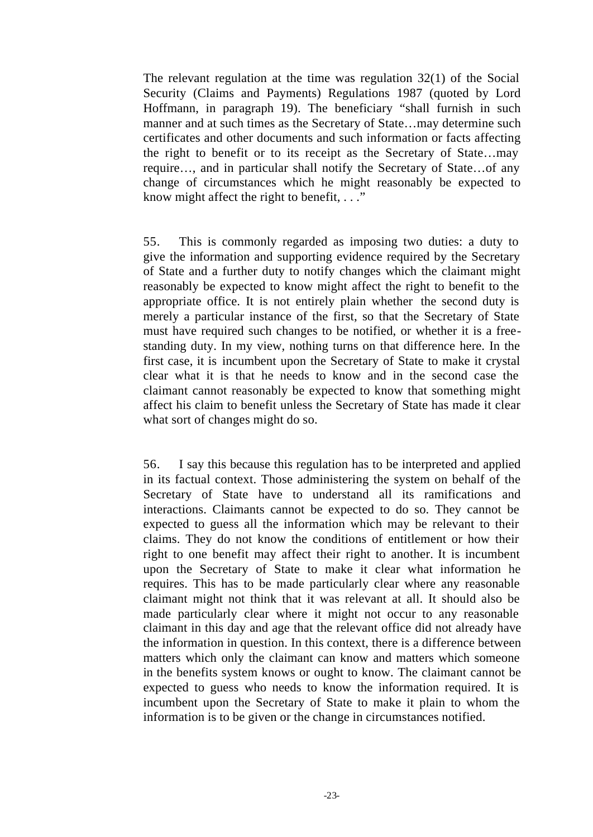The relevant regulation at the time was regulation 32(1) of the Social Security (Claims and Payments) Regulations 1987 (quoted by Lord Hoffmann, in paragraph 19). The beneficiary "shall furnish in such manner and at such times as the Secretary of State…may determine such certificates and other documents and such information or facts affecting the right to benefit or to its receipt as the Secretary of State…may require…, and in particular shall notify the Secretary of State…of any change of circumstances which he might reasonably be expected to know might affect the right to benefit, . . ."

55. This is commonly regarded as imposing two duties: a duty to give the information and supporting evidence required by the Secretary of State and a further duty to notify changes which the claimant might reasonably be expected to know might affect the right to benefit to the appropriate office. It is not entirely plain whether the second duty is merely a particular instance of the first, so that the Secretary of State must have required such changes to be notified, or whether it is a freestanding duty. In my view, nothing turns on that difference here. In the first case, it is incumbent upon the Secretary of State to make it crystal clear what it is that he needs to know and in the second case the claimant cannot reasonably be expected to know that something might affect his claim to benefit unless the Secretary of State has made it clear what sort of changes might do so.

56. I say this because this regulation has to be interpreted and applied in its factual context. Those administering the system on behalf of the Secretary of State have to understand all its ramifications and interactions. Claimants cannot be expected to do so. They cannot be expected to guess all the information which may be relevant to their claims. They do not know the conditions of entitlement or how their right to one benefit may affect their right to another. It is incumbent upon the Secretary of State to make it clear what information he requires. This has to be made particularly clear where any reasonable claimant might not think that it was relevant at all. It should also be made particularly clear where it might not occur to any reasonable claimant in this day and age that the relevant office did not already have the information in question. In this context, there is a difference between matters which only the claimant can know and matters which someone in the benefits system knows or ought to know. The claimant cannot be expected to guess who needs to know the information required. It is incumbent upon the Secretary of State to make it plain to whom the information is to be given or the change in circumstances notified.